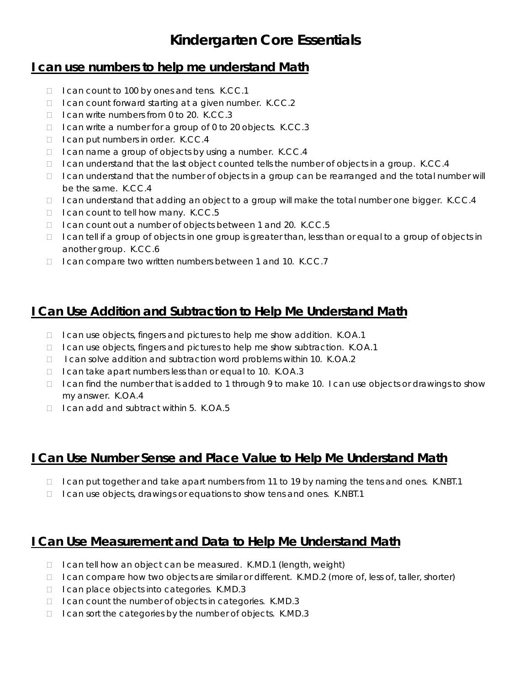# **Kindergarten Core Essentials**

#### **I can use numbers to help me understand Math**

- $\Box$  I can count to 100 by ones and tens. K.CC.1
- $\Box$  I can count forward starting at a given number. K.CC.2
- $\Box$  I can write numbers from 0 to 20. K.CC.3
- □ I can write a number for a group of 0 to 20 objects. K.CC.3
- $\Box$  I can put numbers in order. K.CC.4
- $\Box$  I can name a group of objects by using a number. K.CC.4
- $\Box$  I can understand that the last object counted tells the number of objects in a group. K.CC.4
- $\Box$  I can understand that the number of objects in a group can be rearranged and the total number will be the same. K.CC.4
- $\Box$  I can understand that adding an object to a group will make the total number one bigger. K.CC.4
- $\Box$  I can count to tell how many. K.CC.5
- □ I can count out a number of objects between 1 and 20. K.CC.5
- $\Box$  I can tell if a group of objects in one group is greater than, less than or equal to a group of objects in another group. K.CC.6
- □ I can compare two written numbers between 1 and 10. K.CC.7

### **I Can Use Addition and Subtraction to Help Me Understand Math**

- $\Box$  I can use objects, fingers and pictures to help me show addition. K.OA.1
- □ I can use objects, fingers and pictures to help me show subtraction. K.OA.1
- $\Box$  I can solve addition and subtraction word problems within 10. K.OA.2
- $\Box$  I can take apart numbers less than or equal to 10. K.OA.3
- □ I can find the number that is added to 1 through 9 to make 10. I can use objects or drawings to show my answer. K.OA.4
- □ I can add and subtract within 5. K.OA.5

### **I Can Use Number Sense and Place Value to Help Me Understand Math**

- $\Box$  I can put together and take apart numbers from 11 to 19 by naming the tens and ones. K.NBT.1
- □ I can use objects, drawings or equations to show tens and ones. K.NBT.1

## **I Can Use Measurement and Data to Help Me Understand Math**

- $\Box$  I can tell how an object can be measured. K.MD.1 (length, weight)
- $\Box$  I can compare how two objects are similar or different. K.MD.2 (more of, less of, taller, shorter)
- □ I can place objects into categories. K.MD.3
- $\Box$  I can count the number of objects in categories. K.MD.3
- □ I can sort the categories by the number of objects. K.MD.3